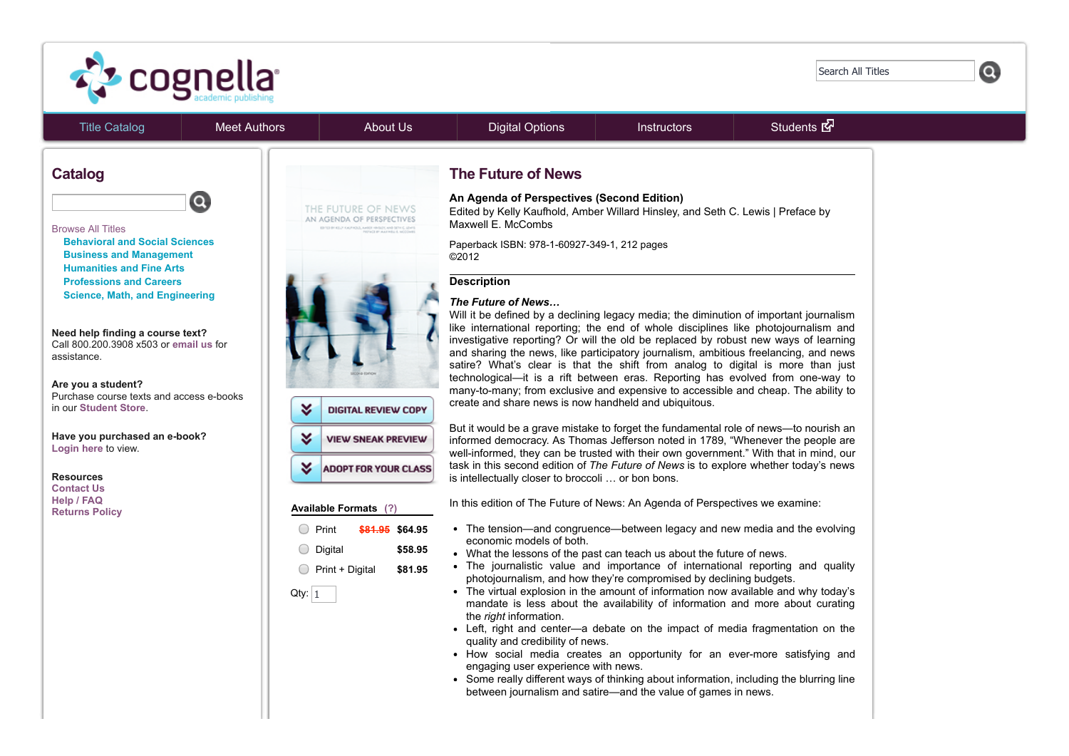